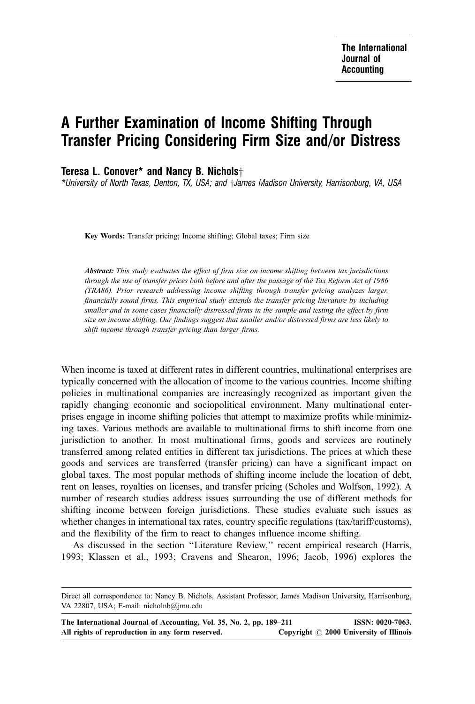## A Further Examination of Income Shifting Through Transfer Pricing Considering Firm Size and/or Distress

Teresa L. Conover\* and Nancy B. Nichols $\dagger$ 

\*University of North Texas, Denton, TX, USA; and  $\dagger$ James Madison University, Harrisonburg, VA, USA

Key Words: Transfer pricing; Income shifting; Global taxes; Firm size

Abstract: This study evaluates the effect of firm size on income shifting between tax jurisdictions through the use of transfer prices both before and after the passage of the Tax Reform Act of 1986 (TRA86). Prior research addressing income shifting through transfer pricing analyzes larger, financially sound firms. This empirical study extends the transfer pricing literature by including smaller and in some cases financially distressed firms in the sample and testing the effect by firm size on income shifting. Our findings suggest that smaller and/or distressed firms are less likely to shift income through transfer pricing than larger firms.

When income is taxed at different rates in different countries, multinational enterprises are typically concerned with the allocation of income to the various countries. Income shifting policies in multinational companies are increasingly recognized as important given the rapidly changing economic and sociopolitical environment. Many multinational enterprises engage in income shifting policies that attempt to maximize profits while minimizing taxes. Various methods are available to multinational firms to shift income from one jurisdiction to another. In most multinational firms, goods and services are routinely transferred among related entities in different tax jurisdictions. The prices at which these goods and services are transferred (transfer pricing) can have a significant impact on global taxes. The most popular methods of shifting income include the location of debt, rent on leases, royalties on licenses, and transfer pricing (Scholes and Wolfson, 1992). A number of research studies address issues surrounding the use of different methods for shifting income between foreign jurisdictions. These studies evaluate such issues as whether changes in international tax rates, country specific regulations (tax/tariff/customs), and the flexibility of the firm to react to changes influence income shifting.

As discussed in the section "Literature Review," recent empirical research (Harris, 1993; Klassen et al., 1993; Cravens and Shearon, 1996; Jacob, 1996) explores the

Direct all correspondence to: Nancy B. Nichols, Assistant Professor, James Madison University, Harrisonburg, VA 22807, USA; E-mail: nicholnb@jmu.edu

| The International Journal of Accounting, Vol. 35, No. 2, pp. 189–211 | ISSN: 0020-7063.                              |
|----------------------------------------------------------------------|-----------------------------------------------|
| All rights of reproduction in any form reserved.                     | Copyright $\odot$ 2000 University of Illinois |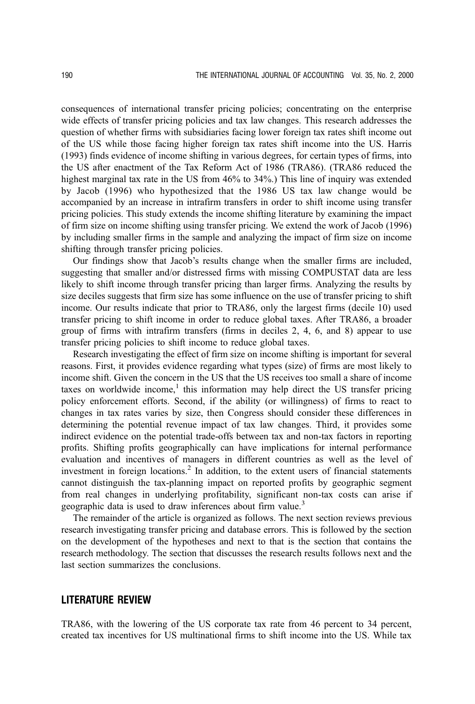consequences of international transfer pricing policies; concentrating on the enterprise wide effects of transfer pricing policies and tax law changes. This research addresses the question of whether firms with subsidiaries facing lower foreign tax rates shift income out of the US while those facing higher foreign tax rates shift income into the US. Harris (1993) finds evidence of income shifting in various degrees, for certain types of firms, into the US after enactment of the Tax Reform Act of 1986 (TRA86). (TRA86 reduced the highest marginal tax rate in the US from 46% to 34%.) This line of inquiry was extended by Jacob (1996) who hypothesized that the 1986 US tax law change would be accompanied by an increase in intrafirm transfers in order to shift income using transfer pricing policies. This study extends the income shifting literature by examining the impact of firm size on income shifting using transfer pricing. We extend the work of Jacob (1996) by including smaller firms in the sample and analyzing the impact of firm size on income shifting through transfer pricing policies.

Our findings show that Jacob's results change when the smaller firms are included, suggesting that smaller and/or distressed firms with missing COMPUSTAT data are less likely to shift income through transfer pricing than larger firms. Analyzing the results by size deciles suggests that firm size has some influence on the use of transfer pricing to shift income. Our results indicate that prior to TRA86, only the largest firms (decile 10) used transfer pricing to shift income in order to reduce global taxes. After TRA86, a broader group of firms with intrafirm transfers (firms in deciles 2, 4, 6, and 8) appear to use transfer pricing policies to shift income to reduce global taxes.

Research investigating the effect of firm size on income shifting is important for several reasons. First, it provides evidence regarding what types (size) of firms are most likely to income shift. Given the concern in the US that the US receives too small a share of income taxes on worldwide income, $<sup>1</sup>$  this information may help direct the US transfer pricing</sup> policy enforcement efforts. Second, if the ability (or willingness) of firms to react to changes in tax rates varies by size, then Congress should consider these differences in determining the potential revenue impact of tax law changes. Third, it provides some indirect evidence on the potential trade-offs between tax and non-tax factors in reporting profits. Shifting profits geographically can have implications for internal performance evaluation and incentives of managers in different countries as well as the level of investment in foreign locations.<sup>2</sup> In addition, to the extent users of financial statements cannot distinguish the tax-planning impact on reported profits by geographic segment from real changes in underlying profitability, significant non-tax costs can arise if geographic data is used to draw inferences about firm value.<sup>3</sup>

The remainder of the article is organized as follows. The next section reviews previous research investigating transfer pricing and database errors. This is followed by the section on the development of the hypotheses and next to that is the section that contains the research methodology. The section that discusses the research results follows next and the last section summarizes the conclusions.

## LITERATURE REVIEW

TRA86, with the lowering of the US corporate tax rate from 46 percent to 34 percent, created tax incentives for US multinational firms to shift income into the US. While tax